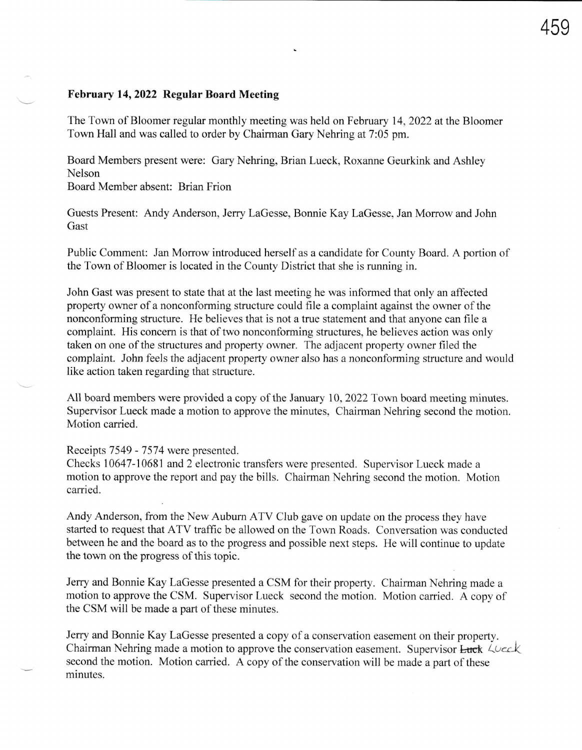## February 14, 2022 Regular Board Meeting

The Town of Bloomer regular monthly meeting was held on February 14,2022 at the Bloomer Town Hall and was called to order by Chairman Gary Nehring at 7:05 pm.

Board Members present were: Gary Nehring, Brian Lueck, Roxanne Geurkink and Ashley Nelson

Board Member absent: Brian Frion

Guests Present: Andy Anderson, Jerry LaGesse, Bonnie Kay LaGesse, Jan Morrow and John Gast

Public Comment: Jan Morrow introduced herself as a candidate for County Board. A portion of the Town of Bloomer is located in the County District that she is running in.

John Gast was present to state that at the last meeting he was informed that only an affected property owner of a nonconforming structure could file a complaint against the owner of the nonconforming structure. He believes that is not a true statement and that anyone can file a complaint. His concern is that of two nonconforming structures, he believes action was only taken on one of the structures and property owner. The adjacent property owner filed the complaint. John feels the adjacent property owner also has a nonconforming structure and would like action taken regarding that structure.

All board members were provided a copy of the January 10, 2022 Town board meeting minutes. Supervisor Lueck made a motion to approve the minutes, Chairman Nehring second the motion. Motion carried.

Receipts 7549 - 7574 were presented.

Checks 10647-10681 and 2 electronic transfers were presented. Supervisor Lueck made a motion to approve the report and pay the bills. Chairman Nehring second the motion. Motion carried.

Andy Anderson, from the New Auburn ATV Club gave on update on the process they have started to request that ATV traffic be allowed on the Town Roads. Conversation was conducted between he and the board as to the progress and possible next steps. He will continue to update the town on the progress of this topic.

Jerry and Bonnie Kay LaGesse presented a CSM for their property. Chairman Nehring made a motion to approve the CSM. Supervisor Lueck second the motion. Motion carried. A copy of the CSM will be made a part of these minutes.

Jerry and Bonnie Kay LaGesse presented a copy of a conservation easement on their property. Chairman Nehring made a motion to approve the conservation easement. Supervisor Luck Luck second the motion. Motion carried. A copy of the conservation will be made a part of these minutes.